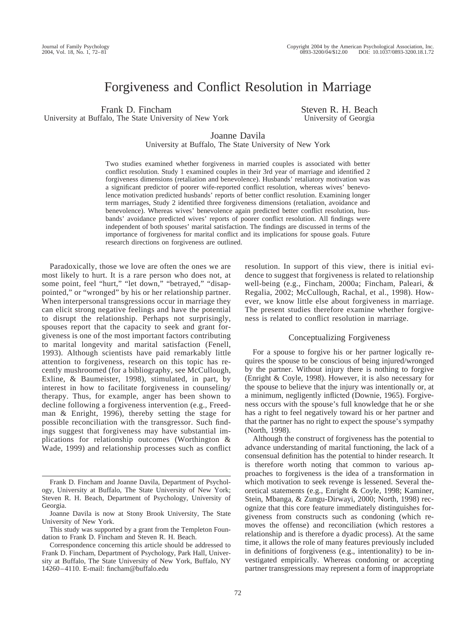# Forgiveness and Conflict Resolution in Marriage

Frank D. Fincham University at Buffalo, The State University of New York Steven R. H. Beach University of Georgia

# Joanne Davila

University at Buffalo, The State University of New York

Two studies examined whether forgiveness in married couples is associated with better conflict resolution. Study 1 examined couples in their 3rd year of marriage and identified 2 forgiveness dimensions (retaliation and benevolence). Husbands' retaliatory motivation was a significant predictor of poorer wife-reported conflict resolution, whereas wives' benevolence motivation predicted husbands' reports of better conflict resolution. Examining longer term marriages, Study 2 identified three forgiveness dimensions (retaliation, avoidance and benevolence). Whereas wives' benevolence again predicted better conflict resolution, husbands' avoidance predicted wives' reports of poorer conflict resolution. All findings were independent of both spouses' marital satisfaction. The findings are discussed in terms of the importance of forgiveness for marital conflict and its implications for spouse goals. Future research directions on forgiveness are outlined.

Paradoxically, those we love are often the ones we are most likely to hurt. It is a rare person who does not, at some point, feel "hurt," "let down," "betrayed," "disappointed," or "wronged" by his or her relationship partner. When interpersonal transgressions occur in marriage they can elicit strong negative feelings and have the potential to disrupt the relationship. Perhaps not surprisingly, spouses report that the capacity to seek and grant forgiveness is one of the most important factors contributing to marital longevity and marital satisfaction (Fenell, 1993). Although scientists have paid remarkably little attention to forgiveness, research on this topic has recently mushroomed (for a bibliography, see McCullough, Exline, & Baumeister, 1998), stimulated, in part, by interest in how to facilitate forgiveness in counseling/ therapy. Thus, for example, anger has been shown to decline following a forgiveness intervention (e.g., Freedman & Enright, 1996), thereby setting the stage for possible reconciliation with the transgressor. Such findings suggest that forgiveness may have substantial implications for relationship outcomes (Worthington & Wade, 1999) and relationship processes such as conflict

resolution. In support of this view, there is initial evidence to suggest that forgiveness is related to relationship well-being (e.g., Fincham, 2000a; Fincham, Paleari, & Regalia, 2002; McCullough, Rachal, et al., 1998). However, we know little else about forgiveness in marriage. The present studies therefore examine whether forgiveness is related to conflict resolution in marriage.

#### Conceptualizing Forgiveness

For a spouse to forgive his or her partner logically requires the spouse to be conscious of being injured/wronged by the partner. Without injury there is nothing to forgive (Enright & Coyle, 1998). However, it is also necessary for the spouse to believe that the injury was intentionally or, at a minimum, negligently inflicted (Downie, 1965). Forgiveness occurs with the spouse's full knowledge that he or she has a right to feel negatively toward his or her partner and that the partner has no right to expect the spouse's sympathy (North, 1998).

Although the construct of forgiveness has the potential to advance understanding of marital functioning, the lack of a consensual definition has the potential to hinder research. It is therefore worth noting that common to various approaches to forgiveness is the idea of a transformation in which motivation to seek revenge is lessened. Several theoretical statements (e.g., Enright & Coyle, 1998; Kaminer, Stein, Mbanga, & Zungu-Dirwayi, 2000; North, 1998) recognize that this core feature immediately distinguishes forgiveness from constructs such as condoning (which removes the offense) and reconciliation (which restores a relationship and is therefore a dyadic process). At the same time, it allows the role of many features previously included in definitions of forgiveness (e.g., intentionality) to be investigated empirically. Whereas condoning or accepting partner transgressions may represent a form of inappropriate

Frank D. Fincham and Joanne Davila, Department of Psychology, University at Buffalo, The State University of New York; Steven R. H. Beach, Department of Psychology, University of Georgia.

Joanne Davila is now at Stony Brook University, The State University of New York.

This study was supported by a grant from the Templeton Foundation to Frank D. Fincham and Steven R. H. Beach.

Correspondence concerning this article should be addressed to Frank D. Fincham, Department of Psychology, Park Hall, University at Buffalo, The State University of New York, Buffalo, NY 14260–4110. E-mail: fincham@buffalo.edu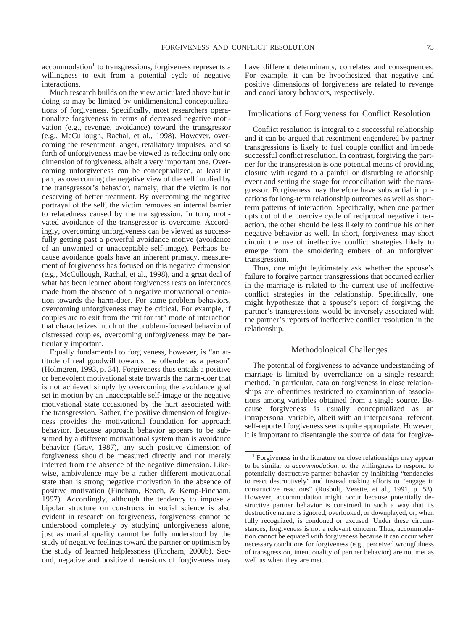$accommodation<sup>1</sup>$  to transgressions, forgiveness represents a willingness to exit from a potential cycle of negative interactions.

Much research builds on the view articulated above but in doing so may be limited by unidimensional conceptualizations of forgiveness. Specifically, most researchers operationalize forgiveness in terms of decreased negative motivation (e.g., revenge, avoidance) toward the transgressor (e.g., McCullough, Rachal, et al., 1998). However, overcoming the resentment, anger, retaliatory impulses, and so forth of unforgiveness may be viewed as reflecting only one dimension of forgiveness, albeit a very important one. Overcoming unforgiveness can be conceptualized, at least in part, as overcoming the negative view of the self implied by the transgressor's behavior, namely, that the victim is not deserving of better treatment. By overcoming the negative portrayal of the self, the victim removes an internal barrier to relatedness caused by the transgression. In turn, motivated avoidance of the transgressor is overcome. Accordingly, overcoming unforgiveness can be viewed as successfully getting past a powerful avoidance motive (avoidance of an unwanted or unacceptable self-image). Perhaps because avoidance goals have an inherent primacy, measurement of forgiveness has focused on this negative dimension (e.g., McCullough, Rachal, et al., 1998), and a great deal of what has been learned about forgiveness rests on inferences made from the absence of a negative motivational orientation towards the harm-doer. For some problem behaviors, overcoming unforgiveness may be critical. For example, if couples are to exit from the "tit for tat" mode of interaction that characterizes much of the problem-focused behavior of distressed couples, overcoming unforgiveness may be particularly important.

Equally fundamental to forgiveness, however, is "an attitude of real goodwill towards the offender as a person" (Holmgren, 1993, p. 34). Forgiveness thus entails a positive or benevolent motivational state towards the harm-doer that is not achieved simply by overcoming the avoidance goal set in motion by an unacceptable self-image or the negative motivational state occasioned by the hurt associated with the transgression. Rather, the positive dimension of forgiveness provides the motivational foundation for approach behavior. Because approach behavior appears to be subsumed by a different motivational system than is avoidance behavior (Gray, 1987), any such positive dimension of forgiveness should be measured directly and not merely inferred from the absence of the negative dimension. Likewise, ambivalence may be a rather different motivational state than is strong negative motivation in the absence of positive motivation (Fincham, Beach, & Kemp-Fincham, 1997). Accordingly, although the tendency to impose a bipolar structure on constructs in social science is also evident in research on forgiveness, forgiveness cannot be understood completely by studying unforgiveness alone, just as marital quality cannot be fully understood by the study of negative feelings toward the partner or optimism by the study of learned helplessness (Fincham, 2000b). Second, negative and positive dimensions of forgiveness may

have different determinants, correlates and consequences. For example, it can be hypothesized that negative and positive dimensions of forgiveness are related to revenge and conciliatory behaviors, respectively.

# Implications of Forgiveness for Conflict Resolution

Conflict resolution is integral to a successful relationship and it can be argued that resentment engendered by partner transgressions is likely to fuel couple conflict and impede successful conflict resolution. In contrast, forgiving the partner for the transgression is one potential means of providing closure with regard to a painful or disturbing relationship event and setting the stage for reconciliation with the transgressor. Forgiveness may therefore have substantial implications for long-term relationship outcomes as well as shortterm patterns of interaction. Specifically, when one partner opts out of the coercive cycle of reciprocal negative interaction, the other should be less likely to continue his or her negative behavior as well. In short, forgiveness may short circuit the use of ineffective conflict strategies likely to emerge from the smoldering embers of an unforgiven transgression.

Thus, one might legitimately ask whether the spouse's failure to forgive partner transgressions that occurred earlier in the marriage is related to the current use of ineffective conflict strategies in the relationship. Specifically, one might hypothesize that a spouse's report of forgiving the partner's transgressions would be inversely associated with the partner's reports of ineffective conflict resolution in the relationship.

#### Methodological Challenges

The potential of forgiveness to advance understanding of marriage is limited by overreliance on a single research method. In particular, data on forgiveness in close relationships are oftentimes restricted to examination of associations among variables obtained from a single source. Because forgiveness is usually conceptualized as an intrapersonal variable, albeit with an interpersonal referent, self-reported forgiveness seems quite appropriate. However, it is important to disentangle the source of data for forgive-

<sup>&</sup>lt;sup>1</sup> Forgiveness in the literature on close relationships may appear to be similar to *accommodation,* or the willingness to respond to potentially destructive partner behavior by inhibiting "tendencies to react destructively" and instead making efforts to "engage in constructive reactions" (Rusbult, Verette, et al., 1991, p. 53). However, accommodation might occur because potentially destructive partner behavior is construed in such a way that its destructive nature is ignored, overlooked, or downplayed, or, when fully recognized, is condoned or excused. Under these circumstances, forgiveness is not a relevant concern. Thus, accommodation cannot be equated with forgiveness because it can occur when necessary conditions for forgiveness (e.g., perceived wrongfulness of transgression, intentionality of partner behavior) are not met as well as when they are met.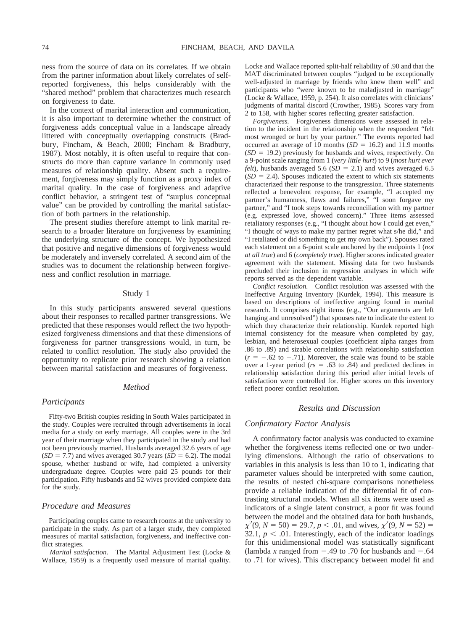ness from the source of data on its correlates. If we obtain from the partner information about likely correlates of selfreported forgiveness, this helps considerably with the "shared method" problem that characterizes much research on forgiveness to date.

In the context of marital interaction and communication, it is also important to determine whether the construct of forgiveness adds conceptual value in a landscape already littered with conceptually overlapping constructs (Bradbury, Fincham, & Beach, 2000; Fincham & Bradbury, 1987). Most notably, it is often useful to require that constructs do more than capture variance in commonly used measures of relationship quality. Absent such a requirement, forgiveness may simply function as a proxy index of marital quality. In the case of forgiveness and adaptive conflict behavior, a stringent test of "surplus conceptual value" can be provided by controlling the marital satisfaction of both partners in the relationship.

The present studies therefore attempt to link marital research to a broader literature on forgiveness by examining the underlying structure of the concept. We hypothesized that positive and negative dimensions of forgiveness would be moderately and inversely correlated. A second aim of the studies was to document the relationship between forgiveness and conflict resolution in marriage.

#### Study 1

In this study participants answered several questions about their responses to recalled partner transgressions. We predicted that these responses would reflect the two hypothesized forgiveness dimensions and that these dimensions of forgiveness for partner transgressions would, in turn, be related to conflict resolution. The study also provided the opportunity to replicate prior research showing a relation between marital satisfaction and measures of forgiveness.

#### *Method*

# *Participants*

Fifty-two British couples residing in South Wales participated in the study. Couples were recruited through advertisements in local media for a study on early marriage. All couples were in the 3rd year of their marriage when they participated in the study and had not been previously married. Husbands averaged 32.6 years of age  $(SD = 7.7)$  and wives averaged 30.7 years  $(SD = 6.2)$ . The modal spouse, whether husband or wife, had completed a university undergraduate degree. Couples were paid 25 pounds for their participation. Fifty husbands and 52 wives provided complete data for the study.

# *Procedure and Measures*

Participating couples came to research rooms at the university to participate in the study. As part of a larger study, they completed measures of marital satisfaction, forgiveness, and ineffective conflict strategies.

*Marital satisfaction.* The Marital Adjustment Test (Locke & Wallace, 1959) is a frequently used measure of marital quality. Locke and Wallace reported split-half reliability of .90 and that the MAT discriminated between couples "judged to be exceptionally well-adjusted in marriage by friends who knew them well" and participants who "were known to be maladjusted in marriage" (Locke & Wallace, 1959, p. 254). It also correlates with clinicians' judgments of marital discord (Crowther, 1985). Scores vary from 2 to 158, with higher scores reflecting greater satisfaction.

*Forgiveness.* Forgiveness dimensions were assessed in relation to the incident in the relationship when the respondent "felt most wronged or hurt by your partner." The events reported had occurred an average of 10 months  $(SD = 16.2)$  and 11.9 months  $(SD = 19.2)$  previously for husbands and wives, respectively. On a 9-point scale ranging from 1 (*very little hurt*) to 9 (*most hurt ever felt*), husbands averaged 5.6 ( $SD = 2.1$ ) and wives averaged 6.5  $(SD = 2.4)$ . Spouses indicated the extent to which six statements characterized their response to the transgression. Three statements reflected a benevolent response, for example, "I accepted my partner's humanness, flaws and failures," "I soon forgave my partner," and "I took steps towards reconciliation with my partner (e.g. expressed love, showed concern)." Three items assessed retaliatory responses (e.g., "I thought about how I could get even," "I thought of ways to make my partner regret what s/he did," and "I retaliated or did something to get my own back"). Spouses rated each statement on a 6-point scale anchored by the endpoints 1 (*not at all true*) and 6 (*completely true*). Higher scores indicated greater agreement with the statement. Missing data for two husbands precluded their inclusion in regression analyses in which wife reports served as the dependent variable.

*Conflict resolution.* Conflict resolution was assessed with the Ineffective Arguing Inventory (Kurdek, 1994). This measure is based on descriptions of ineffective arguing found in marital research. It comprises eight items (e.g., "Our arguments are left hanging and unresolved") that spouses rate to indicate the extent to which they characterize their relationship. Kurdek reported high internal consistency for the measure when completed by gay, lesbian, and heterosexual couples (coefficient alpha ranges from .86 to .89) and sizable correlations with relationship satisfaction  $(r = -.62 \text{ to } -.71)$ . Moreover, the scale was found to be stable over a 1-year period ( $rs = .63$  to .84) and predicted declines in relationship satisfaction during this period after initial levels of satisfaction were controlled for. Higher scores on this inventory reflect poorer conflict resolution.

#### *Results and Discussion*

#### *Confirmatory Factor Analysis*

A confirmatory factor analysis was conducted to examine whether the forgiveness items reflected one or two underlying dimensions. Although the ratio of observations to variables in this analysis is less than 10 to 1, indicating that parameter values should be interpreted with some caution, the results of nested chi-square comparisons nonetheless provide a reliable indication of the differential fit of contrasting structural models. When all six items were used as indicators of a single latent construct, a poor fit was found between the model and the obtained data for both husbands,  $\chi^2(9, N = 50) = 29.7, p < .01$ , and wives,  $\chi^2(9, N = 52) =$  $32.1, p \leq .01$ . Interestingly, each of the indicator loadings for this unidimensional model was statistically significant (lambda *x* ranged from  $-.49$  to .70 for husbands and  $-.64$ to .71 for wives). This discrepancy between model fit and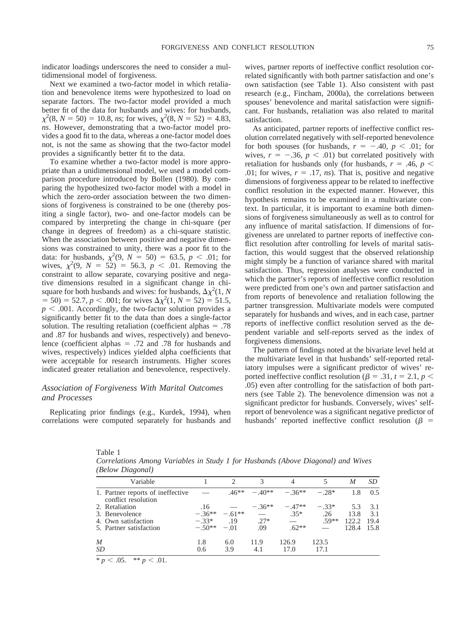indicator loadings underscores the need to consider a multidimensional model of forgiveness.

Next we examined a two-factor model in which retaliation and benevolence items were hypothesized to load on separate factors. The two-factor model provided a much better fit of the data for husbands and wives: for husbands,  $\chi^2(8, N = 50) = 10.8$ , *ns*; for wives,  $\chi^2(8, N = 52) = 4.83$ , *ns*. However, demonstrating that a two-factor model provides a good fit to the data, whereas a one-factor model does not, is not the same as showing that the two-factor model provides a significantly better fit to the data.

To examine whether a two-factor model is more appropriate than a unidimensional model, we used a model comparison procedure introduced by Bollen (1980). By comparing the hypothesized two-factor model with a model in which the zero-order association between the two dimensions of forgiveness is constrained to be one (thereby positing a single factor), two- and one-factor models can be compared by interpreting the change in chi-square (per change in degrees of freedom) as a chi-square statistic. When the association between positive and negative dimensions was constrained to unity, there was a poor fit to the data: for husbands,  $\chi^2(9, N = 50) = 63.5, p < .01$ ; for wives,  $\chi^2(9, N = 52) = 56.3, p < .01$ . Removing the constraint to allow separate, covarying positive and negative dimensions resulted in a significant change in chisquare for both husbands and wives: for husbands,  $\Delta \chi^2(1, N)$  $\Delta = 50$ ) = 52.7, *p* < .001; for wives  $\Delta \chi^2(1, N = 52) = 51.5$ ,  $p < .001$ . Accordingly, the two-factor solution provides a significantly better fit to the data than does a single-factor solution. The resulting retaliation (coefficient alphas  $= .78$ ) and .87 for husbands and wives, respectively) and benevolence (coefficient alphas  $= .72$  and .78 for husbands and wives, respectively) indices yielded alpha coefficients that were acceptable for research instruments. Higher scores indicated greater retaliation and benevolence, respectively.

# *Association of Forgiveness With Marital Outcomes and Processes*

Replicating prior findings (e.g., Kurdek, 1994), when correlations were computed separately for husbands and wives, partner reports of ineffective conflict resolution correlated significantly with both partner satisfaction and one's own satisfaction (see Table 1). Also consistent with past research (e.g., Fincham, 2000a), the correlations between spouses' benevolence and marital satisfaction were significant. For husbands, retaliation was also related to marital satisfaction.

As anticipated, partner reports of ineffective conflict resolution correlated negatively with self-reported benevolence for both spouses (for husbands,  $r = -.40, p < .01$ ; for wives,  $r = -.36$ ,  $p < .01$ ) but correlated positively with retaliation for husbands only (for husbands,  $r = .46$ ,  $p <$ .01; for wives,  $r = .17$ , *ns*). That is, positive and negative dimensions of forgiveness appear to be related to ineffective conflict resolution in the expected manner. However, this hypothesis remains to be examined in a multivariate context. In particular, it is important to examine both dimensions of forgiveness simultaneously as well as to control for any influence of marital satisfaction. If dimensions of forgiveness are unrelated to partner reports of ineffective conflict resolution after controlling for levels of marital satisfaction, this would suggest that the observed relationship might simply be a function of variance shared with marital satisfaction. Thus, regression analyses were conducted in which the partner's reports of ineffective conflict resolution were predicted from one's own and partner satisfaction and from reports of benevolence and retaliation following the partner transgression. Multivariate models were computed separately for husbands and wives, and in each case, partner reports of ineffective conflict resolution served as the dependent variable and self-reports served as the index of forgiveness dimensions.

The pattern of findings noted at the bivariate level held at the multivariate level in that husbands' self-reported retaliatory impulses were a significant predictor of wives' reported ineffective conflict resolution ( $\beta = .31$ ,  $t = 2.1$ ,  $p <$ .05) even after controlling for the satisfaction of both partners (see Table 2). The benevolence dimension was not a significant predictor for husbands. Conversely, wives' selfreport of benevolence was a significant negative predictor of husbands' reported ineffective conflict resolution ( $\beta$  =

|            |            | $\mathcal{R}$            | 4             |               | M        | SD.  |
|------------|------------|--------------------------|---------------|---------------|----------|------|
|            |            |                          |               | $-.28*$       | 1.8      | 0.5  |
| .16        |            | $-.36**$                 | $-.47**$      | $-.33*$       | 5.3      | 3.1  |
|            | $-.61**$   | $\overline{\phantom{m}}$ | $.35*$        | .26           | 13.8     | 3.1  |
|            | 19         | $.27*$                   |               | $.59**$       | 122.2    | 19.4 |
| $-.50**$   | $-.01$     | .09                      | $.62**$       |               | 128.4    | 15.8 |
| 1.8<br>0.6 | 6.0<br>3.9 | 11.9<br>4.1              | 126.9<br>17.0 | 123.5<br>17.1 |          |      |
|            |            | $-.36**$<br>$-33*$       | $.46**$       | $-40**$       | $-.36**$ |      |

Table 1 *Correlations Among Variables in Study 1 for Husbands (Above Diagonal) and Wives (Below Diagonal)*

 $\overline{\ast p}$  < .05.  $\overline{\ast p}$  < .01.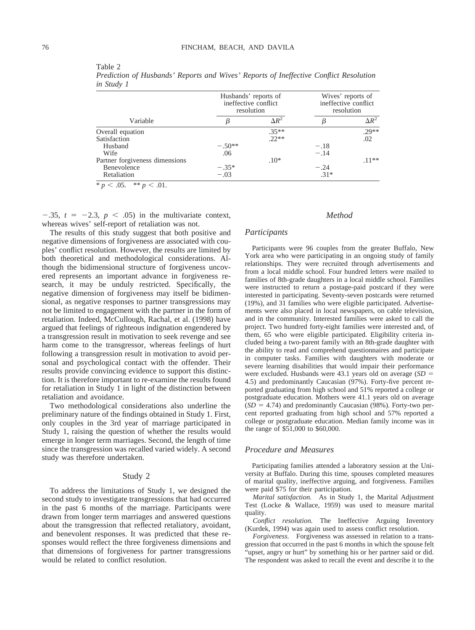| I | v |    |
|---|---|----|
|   |   | I  |
|   | ۰ | ۰, |

|                                | Husbands' reports of<br>ineffective conflict<br>resolution |              | Wives' reports of<br>ineffective conflict<br>resolution |              |  |
|--------------------------------|------------------------------------------------------------|--------------|---------------------------------------------------------|--------------|--|
| Variable                       |                                                            | $\Delta R^2$ | B                                                       | $\Delta R^2$ |  |
| Overall equation               |                                                            | $.35**$      |                                                         | $.29**$      |  |
| Satisfaction                   |                                                            | $.22**$      |                                                         | .02          |  |
| Husband                        | $-.50**$                                                   |              | $-.18$                                                  |              |  |
| Wife                           | .06                                                        |              | $-.14$                                                  |              |  |
| Partner forgiveness dimensions |                                                            | $.10*$       |                                                         | $.11***$     |  |
| Benevolence                    | $-.35*$                                                    |              | $-.24$                                                  |              |  |
| Retaliation                    | $-.03$                                                     |              | $.31*$                                                  |              |  |

*Participants*

Table 2 *Prediction of Husbands' Reports and Wives' Reports of Ineffective Conflict Resolution in Study 1*

 $\overline{\ast p}$  < .05.  $\overline{\ast p}$  < .01.

 $-0.35$ ,  $t = -2.3$ ,  $p < 0.05$  in the multivariate context, whereas wives' self-report of retaliation was not.

The results of this study suggest that both positive and negative dimensions of forgiveness are associated with couples' conflict resolution. However, the results are limited by both theoretical and methodological considerations. Although the bidimensional structure of forgiveness uncovered represents an important advance in forgiveness research, it may be unduly restricted. Specifically, the negative dimension of forgiveness may itself be bidimensional, as negative responses to partner transgressions may not be limited to engagement with the partner in the form of retaliation. Indeed, McCullough, Rachal, et al. (1998) have argued that feelings of righteous indignation engendered by a transgression result in motivation to seek revenge and see harm come to the transgressor, whereas feelings of hurt following a transgression result in motivation to avoid personal and psychological contact with the offender. Their results provide convincing evidence to support this distinction. It is therefore important to re-examine the results found for retaliation in Study 1 in light of the distinction between retaliation and avoidance.

Two methodological considerations also underline the preliminary nature of the findings obtained in Study 1. First, only couples in the 3rd year of marriage participated in Study 1, raising the question of whether the results would emerge in longer term marriages. Second, the length of time since the transgression was recalled varied widely. A second study was therefore undertaken.

#### Study 2

To address the limitations of Study 1, we designed the second study to investigate transgressions that had occurred in the past 6 months of the marriage. Participants were drawn from longer term marriages and answered questions about the transgression that reflected retaliatory, avoidant, and benevolent responses. It was predicted that these responses would reflect the three forgiveness dimensions and that dimensions of forgiveness for partner transgressions would be related to conflict resolution.

*Method*

Participants were 96 couples from the greater Buffalo, New York area who were participating in an ongoing study of family relationships. They were recruited through advertisements and from a local middle school. Four hundred letters were mailed to families of 8th-grade daughters in a local middle school. Families were instructed to return a postage-paid postcard if they were interested in participating. Seventy-seven postcards were returned (19%), and 31 families who were eligible participated. Advertisements were also placed in local newspapers, on cable television, and in the community. Interested families were asked to call the project. Two hundred forty-eight families were interested and, of them, 65 who were eligible participated. Eligibility criteria included being a two-parent family with an 8th-grade daughter with the ability to read and comprehend questionnaires and participate in computer tasks. Families with daughters with moderate or severe learning disabilities that would impair their performance were excluded. Husbands were 43.1 years old on average (*SD* 4.5) and predominantly Caucasian (97%). Forty-five percent reported graduating from high school and 51% reported a college or postgraduate education. Mothers were 41.1 years old on average  $(SD = 4.74)$  and predominantly Caucasian (98%). Forty-two percent reported graduating from high school and 57% reported a college or postgraduate education. Median family income was in the range of \$51,000 to \$60,000.

#### *Procedure and Measures*

Participating families attended a laboratory session at the University at Buffalo. During this time, spouses completed measures of marital quality, ineffective arguing, and forgiveness. Families were paid \$75 for their participation.

*Marital satisfaction.* As in Study 1, the Marital Adjustment Test (Locke & Wallace, 1959) was used to measure marital quality.

*Conflict resolution.* The Ineffective Arguing Inventory (Kurdek, 1994) was again used to assess conflict resolution.

*Forgiveness.* Forgiveness was assessed in relation to a transgression that occurred in the past 6 months in which the spouse felt "upset, angry or hurt" by something his or her partner said or did. The respondent was asked to recall the event and describe it to the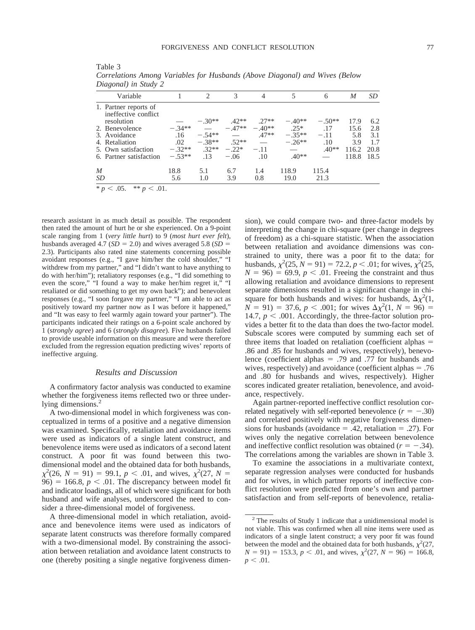| Variable                                      |          | 2        | 3       | 4        | 5        | 6        | M     | SD   |
|-----------------------------------------------|----------|----------|---------|----------|----------|----------|-------|------|
| 1. Partner reports of<br>ineffective conflict |          |          |         |          |          |          |       |      |
| resolution                                    |          | $-.30**$ | $42**$  | $.27**$  | $-.40**$ | $-.50**$ | 17.9  | 6.2  |
| 2. Benevolence                                | $-.34**$ |          | $-47**$ | $-.40**$ | $.25*$   | .17      | 15.6  | 2.8  |
| 3. Avoidance                                  | .16      | $-.54**$ |         | $.47**$  | $-.35**$ | $-.11$   | 5.8   | 3.1  |
| 4. Retaliation                                | .02      | $-.38**$ | $52**$  |          | $-.26**$ | .10      | 3.9   | 1.7  |
| 5. Own satisfaction                           | $-.32**$ | $.32**$  | $-.22*$ | $-.11$   |          | $.40**$  | 116.2 | 20.8 |
| 6. Partner satisfaction                       | $-.53**$ | .13      | $-.06$  | .10      | $.40**$  |          | 118.8 | 18.5 |
| M                                             | 18.8     | 5.1      | 6.7     | 1.4      | 118.9    | 115.4    |       |      |
| SD                                            | 5.6      | 1.0      | 3.9     | 0.8      | 19.0     | 21.3     |       |      |

Table 3 *Correlations Among Variables for Husbands (Above Diagonal) and Wives (Below Diagonal) in Study 2*

 $* p < .05.$  \*\*  $p < .01.$ 

research assistant in as much detail as possible. The respondent then rated the amount of hurt he or she experienced. On a 9-point scale ranging from 1 (*very little hurt*) to 9 (*most hurt ever felt*), husbands averaged 4.7 ( $SD = 2.0$ ) and wives averaged 5.8 ( $SD =$ 2.3). Participants also rated nine statements concerning possible avoidant responses (e.g., "I gave him/her the cold shoulder," "I withdrew from my partner," and "I didn't want to have anything to do with her/him"); retaliatory responses (e.g., "I did something to even the score," "I found a way to make her/him regret it," "I retaliated or did something to get my own back"); and benevolent responses (e.g., "I soon forgave my partner," "I am able to act as positively toward my partner now as I was before it happened," and "It was easy to feel warmly again toward your partner"). The participants indicated their ratings on a 6-point scale anchored by 1 (s*trongly agree*) and 6 (*strongly disagree*). Five husbands failed to provide useable information on this measure and were therefore excluded from the regression equation predicting wives' reports of ineffective arguing.

#### *Results and Discussion*

A confirmatory factor analysis was conducted to examine whether the forgiveness items reflected two or three underlying dimensions.<sup>2</sup>

A two-dimensional model in which forgiveness was conceptualized in terms of a positive and a negative dimension was examined. Specifically, retaliation and avoidance items were used as indicators of a single latent construct, and benevolence items were used as indicators of a second latent construct. A poor fit was found between this twodimensional model and the obtained data for both husbands,  $\chi^2(26, N = 91) = 99.1, p < .01$ , and wives,  $\chi^2(27, N = 91)$  $96$ ) = 166.8,  $p < .01$ . The discrepancy between model fit and indicator loadings, all of which were significant for both husband and wife analyses, underscored the need to consider a three-dimensional model of forgiveness.

A three-dimensional model in which retaliation, avoidance and benevolence items were used as indicators of separate latent constructs was therefore formally compared with a two-dimensional model. By constraining the association between retaliation and avoidance latent constructs to one (thereby positing a single negative forgiveness dimension), we could compare two- and three-factor models by interpreting the change in chi-square (per change in degrees of freedom) as a chi-square statistic. When the association between retaliation and avoidance dimensions was constrained to unity, there was a poor fit to the data: for husbands,  $\chi^2(25, N = 91) = 72.2, p < .01$ ; for wives,  $\chi^2(25, N = 91)$  $N = 96$ ) = 69.9,  $p < .01$ . Freeing the constraint and thus allowing retaliation and avoidance dimensions to represent separate dimensions resulted in a significant change in chisquare for both husbands and wives: for husbands,  $\Delta \chi^2(1)$ ,  $N = 91$  = 37.6, *p* < .001; for wives  $\Delta \chi^2(1, N = 96)$  = 14.7,  $p < .001$ . Accordingly, the three-factor solution provides a better fit to the data than does the two-factor model. Subscale scores were computed by summing each set of three items that loaded on retaliation (coefficient alphas .86 and .85 for husbands and wives, respectively), benevolence (coefficient alphas = .79 and .77 for husbands and wives, respectively) and avoidance (coefficient alphas  $= .76$ and .80 for husbands and wives, respectively). Higher scores indicated greater retaliation, benevolence, and avoidance, respectively.

Again partner-reported ineffective conflict resolution correlated negatively with self-reported benevolence  $(r = -.30)$ and correlated positively with negative forgiveness dimensions for husbands (avoidance  $= .42$ , retaliation  $= .27$ ). For wives only the negative correlation between benevolence and ineffective conflict resolution was obtained  $(r = -.34)$ . The correlations among the variables are shown in Table 3.

To examine the associations in a multivariate context, separate regression analyses were conducted for husbands and for wives, in which partner reports of ineffective conflict resolution were predicted from one's own and partner satisfaction and from self-reports of benevolence, retalia-

 $2$  The results of Study 1 indicate that a unidimensional model is not viable. This was confirmed when all nine items were used as indicators of a single latent construct; a very poor fit was found between the model and the obtained data for both husbands,  $\chi^2$ (27,  $N = 91$  = 153.3,  $p < .01$ , and wives,  $\chi^2$  (27,  $N = 96$ ) = 166.8,  $p < .01$ .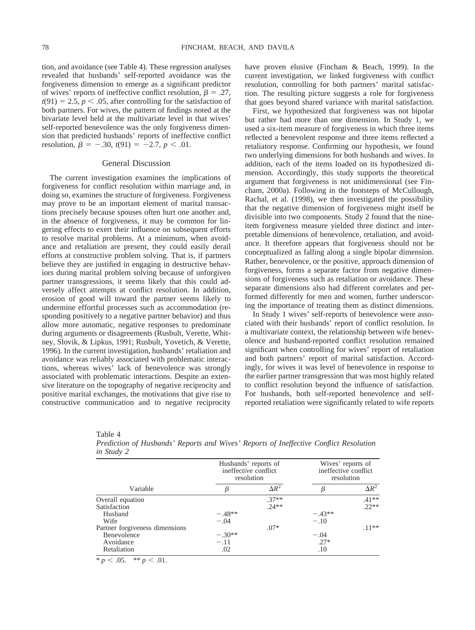tion, and avoidance (see Table 4). These regression analyses revealed that husbands' self-reported avoidance was the forgiveness dimension to emerge as a significant predictor of wives' reports of ineffective conflict resolution,  $\beta = .27$ ,  $t(91) = 2.5, p < .05$ , after controlling for the satisfaction of both partners. For wives, the pattern of findings noted at the bivariate level held at the multivariate level in that wives' self-reported benevolence was the only forgiveness dimension that predicted husbands' reports of ineffective conflict resolution,  $\beta = -.30, t(91) = -2.7, p < .01$ .

#### General Discussion

The current investigation examines the implications of forgiveness for conflict resolution within marriage and, in doing so, examines the structure of forgiveness. Forgiveness may prove to be an important element of marital transactions precisely because spouses often hurt one another and, in the absence of forgiveness, it may be common for lingering effects to exert their influence on subsequent efforts to resolve marital problems. At a minimum, when avoidance and retaliation are present, they could easily derail efforts at constructive problem solving. That is, if partners believe they are justified in engaging in destructive behaviors during marital problem solving because of unforgiven partner transgressions, it seems likely that this could adversely affect attempts at conflict resolution. In addition, erosion of good will toward the partner seems likely to undermine effortful processes such as accommodation (responding positively to a negative partner behavior) and thus allow more automatic, negative responses to predominate during arguments or disagreements (Rusbult, Verette, Whitney, Slovik, & Lipkus, 1991; Rusbult, Yovetich, & Verette, 1996). In the current investigation, husbands' retaliation and avoidance was reliably associated with problematic interactions, whereas wives' lack of benevolence was strongly associated with problematic interactions. Despite an extensive literature on the topography of negative reciprocity and positive marital exchanges, the motivations that give rise to constructive communication and to negative reciprocity have proven elusive (Fincham & Beach, 1999). In the current investigation, we linked forgiveness with conflict resolution, controlling for both partners' marital satisfaction. The resulting picture suggests a role for forgiveness that goes beyond shared variance with marital satisfaction.

First, we hypothesized that forgiveness was not bipolar but rather had more than one dimension. In Study 1, we used a six-item measure of forgiveness in which three items reflected a benevolent response and three items reflected a retaliatory response. Confirming our hypothesis, we found two underlying dimensions for both husbands and wives. In addition, each of the items loaded on its hypothesized dimension. Accordingly, this study supports the theoretical argument that forgiveness is not unidimensional (see Fincham, 2000a). Following in the footsteps of McCullough, Rachal, et al. (1998), we then investigated the possibility that the negative dimension of forgiveness might itself be divisible into two components. Study 2 found that the nineitem forgiveness measure yielded three distinct and interpretable dimensions of benevolence, retaliation, and avoidance. It therefore appears that forgiveness should not be conceptualized as falling along a single bipolar dimension. Rather, benevolence, or the positive, approach dimension of forgiveness, forms a separate factor from negative dimensions of forgiveness such as retaliation or avoidance. These separate dimensions also had different correlates and performed differently for men and women, further underscoring the importance of treating them as distinct dimensions.

In Study 1 wives' self-reports of benevolence were associated with their husbands' report of conflict resolution. In a multivariate context, the relationship between wife benevolence and husband-reported conflict resolution remained significant when controlling for wives' report of retaliation and both partners' report of marital satisfaction. Accordingly, for wives it was level of benevolence in response to the earlier partner transgression that was most highly related to conflict resolution beyond the influence of satisfaction. For husbands, both self-reported benevolence and selfreported retaliation were significantly related to wife reports

|                                | Husbands' reports of<br>ineffective conflict<br>resolution |              | Wives' reports of<br>ineffective conflict<br>resolution |              |  |
|--------------------------------|------------------------------------------------------------|--------------|---------------------------------------------------------|--------------|--|
| Variable                       | β                                                          | $\Delta R^2$ | β                                                       | $\Delta R^2$ |  |
| Overall equation               |                                                            | $.37**$      |                                                         | $.41**$      |  |
| Satisfaction                   |                                                            | $.24**$      |                                                         | $22**$       |  |
| Husband                        | $-.48**$                                                   |              | $-.43**$                                                |              |  |
| Wife                           | $-.04$                                                     |              | $-.10$                                                  |              |  |
| Partner forgiveness dimensions |                                                            | $.07*$       |                                                         | $.11***$     |  |
| Benevolence                    | $-.30**$                                                   |              | $-.04$                                                  |              |  |
| Avoidance                      | $-.11$                                                     |              | $.27*$                                                  |              |  |
| Retaliation                    | .02                                                        |              | .10                                                     |              |  |

| Prediction of Husbands' Reports and Wives' Reports of Ineffective Conflict Resolution |  |  |  |
|---------------------------------------------------------------------------------------|--|--|--|
| <i>in Study 2</i>                                                                     |  |  |  |

 $\overline{\ast p}$  < .05.  $\overline{\ast p}$  < .01.

Table 4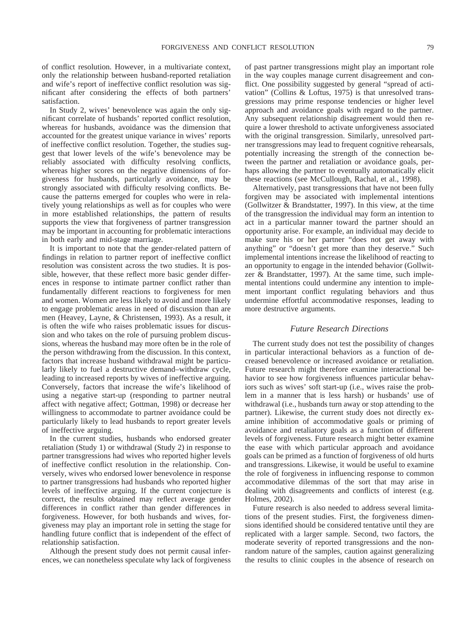of conflict resolution. However, in a multivariate context, only the relationship between husband-reported retaliation and wife's report of ineffective conflict resolution was significant after considering the effects of both partners' satisfaction.

In Study 2, wives' benevolence was again the only significant correlate of husbands' reported conflict resolution, whereas for husbands, avoidance was the dimension that accounted for the greatest unique variance in wives' reports of ineffective conflict resolution. Together, the studies suggest that lower levels of the wife's benevolence may be reliably associated with difficulty resolving conflicts, whereas higher scores on the negative dimensions of forgiveness for husbands, particularly avoidance, may be strongly associated with difficulty resolving conflicts. Because the patterns emerged for couples who were in relatively young relationships as well as for couples who were in more established relationships, the pattern of results supports the view that forgiveness of partner transgression may be important in accounting for problematic interactions in both early and mid-stage marriage.

It is important to note that the gender-related pattern of findings in relation to partner report of ineffective conflict resolution was consistent across the two studies. It is possible, however, that these reflect more basic gender differences in response to intimate partner conflict rather than fundamentally different reactions to forgiveness for men and women. Women are less likely to avoid and more likely to engage problematic areas in need of discussion than are men (Heavey, Layne, & Christensen, 1993). As a result, it is often the wife who raises problematic issues for discussion and who takes on the role of pursuing problem discussions, whereas the husband may more often be in the role of the person withdrawing from the discussion. In this context, factors that increase husband withdrawal might be particularly likely to fuel a destructive demand–withdraw cycle, leading to increased reports by wives of ineffective arguing. Conversely, factors that increase the wife's likelihood of using a negative start-up (responding to partner neutral affect with negative affect; Gottman, 1998) or decrease her willingness to accommodate to partner avoidance could be particularly likely to lead husbands to report greater levels of ineffective arguing.

In the current studies, husbands who endorsed greater retaliation (Study 1) or withdrawal (Study 2) in response to partner transgressions had wives who reported higher levels of ineffective conflict resolution in the relationship. Conversely, wives who endorsed lower benevolence in response to partner transgressions had husbands who reported higher levels of ineffective arguing. If the current conjecture is correct, the results obtained may reflect average gender differences in conflict rather than gender differences in forgiveness. However, for both husbands and wives, forgiveness may play an important role in setting the stage for handling future conflict that is independent of the effect of relationship satisfaction.

Although the present study does not permit causal inferences, we can nonetheless speculate why lack of forgiveness of past partner transgressions might play an important role in the way couples manage current disagreement and conflict. One possibility suggested by general "spread of activation" (Collins & Loftus, 1975) is that unresolved transgressions may prime response tendencies or higher level approach and avoidance goals with regard to the partner. Any subsequent relationship disagreement would then require a lower threshold to activate unforgiveness associated with the original transgression. Similarly, unresolved partner transgressions may lead to frequent cognitive rehearsals, potentially increasing the strength of the connection between the partner and retaliation or avoidance goals, perhaps allowing the partner to eventually automatically elicit these reactions (see McCullough, Rachal, et al., 1998).

Alternatively, past transgressions that have not been fully forgiven may be associated with implemental intentions (Gollwitzer & Brandstatter, 1997). In this view, at the time of the transgression the individual may form an intention to act in a particular manner toward the partner should an opportunity arise. For example, an individual may decide to make sure his or her partner "does not get away with anything" or "doesn't get more than they deserve." Such implemental intentions increase the likelihood of reacting to an opportunity to engage in the intended behavior (Gollwitzer & Brandstatter, 1997). At the same time, such implemental intentions could undermine any intention to implement important conflict regulating behaviors and thus undermine effortful accommodative responses, leading to more destructive arguments.

#### *Future Research Directions*

The current study does not test the possibility of changes in particular interactional behaviors as a function of decreased benevolence or increased avoidance or retaliation. Future research might therefore examine interactional behavior to see how forgiveness influences particular behaviors such as wives' soft start-up (i.e., wives raise the problem in a manner that is less harsh) or husbands' use of withdrawal (i.e., husbands turn away or stop attending to the partner). Likewise, the current study does not directly examine inhibition of accommodative goals or priming of avoidance and retaliatory goals as a function of different levels of forgiveness. Future research might better examine the ease with which particular approach and avoidance goals can be primed as a function of forgiveness of old hurts and transgressions. Likewise, it would be useful to examine the role of forgiveness in influencing response to common accommodative dilemmas of the sort that may arise in dealing with disagreements and conflicts of interest (e.g. Holmes, 2002).

Future research is also needed to address several limitations of the present studies. First, the forgiveness dimensions identified should be considered tentative until they are replicated with a larger sample. Second, two factors, the moderate severity of reported transgressions and the nonrandom nature of the samples, caution against generalizing the results to clinic couples in the absence of research on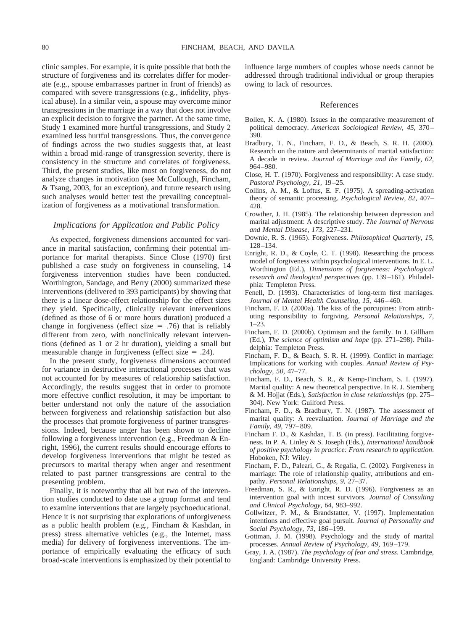clinic samples. For example, it is quite possible that both the structure of forgiveness and its correlates differ for moderate (e.g., spouse embarrasses partner in front of friends) as compared with severe transgressions (e.g., infidelity, physical abuse). In a similar vein, a spouse may overcome minor transgressions in the marriage in a way that does not involve an explicit decision to forgive the partner. At the same time, Study 1 examined more hurtful transgressions, and Study 2 examined less hurtful transgressions. Thus, the convergence of findings across the two studies suggests that, at least within a broad mid-range of transgression severity, there is consistency in the structure and correlates of forgiveness. Third, the present studies, like most on forgiveness, do not analyze changes in motivation (see McCullough, Fincham, & Tsang, 2003, for an exception), and future research using such analyses would better test the prevailing conceptualization of forgiveness as a motivational transformation.

# *Implications for Application and Public Policy*

As expected, forgiveness dimensions accounted for variance in marital satisfaction, confirming their potential importance for marital therapists. Since Close (1970) first published a case study on forgiveness in counseling, 14 forgiveness intervention studies have been conducted. Worthington, Sandage, and Berry (2000) summarized these interventions (delivered to 393 participants) by showing that there is a linear dose-effect relationship for the effect sizes they yield. Specifically, clinically relevant interventions (defined as those of 6 or more hours duration) produced a change in forgiveness (effect size  $= .76$ ) that is reliably different from zero, with nonclinically relevant interventions (defined as 1 or 2 hr duration), yielding a small but measurable change in forgiveness (effect size  $= .24$ ).

In the present study, forgiveness dimensions accounted for variance in destructive interactional processes that was not accounted for by measures of relationship satisfaction. Accordingly, the results suggest that in order to promote more effective conflict resolution, it may be important to better understand not only the nature of the association between forgiveness and relationship satisfaction but also the processes that promote forgiveness of partner transgressions. Indeed, because anger has been shown to decline following a forgiveness intervention (e.g., Freedman & Enright, 1996), the current results should encourage efforts to develop forgiveness interventions that might be tested as precursors to marital therapy when anger and resentment related to past partner transgressions are central to the presenting problem.

Finally, it is noteworthy that all but two of the intervention studies conducted to date use a group format and tend to examine interventions that are largely psychoeducational. Hence it is not surprising that explorations of unforgiveness as a public health problem (e.g., Fincham & Kashdan, in press) stress alternative vehicles (e.g., the Internet, mass media) for delivery of forgiveness interventions. The importance of empirically evaluating the efficacy of such broad-scale interventions is emphasized by their potential to influence large numbers of couples whose needs cannot be addressed through traditional individual or group therapies owing to lack of resources.

#### References

- Bollen, K. A. (1980). Issues in the comparative measurement of political democracy. *American Sociological Review, 45,* 370– 390.
- Bradbury, T. N., Fincham, F. D., & Beach, S. R. H. (2000). Research on the nature and determinants of marital satisfaction: A decade in review. *Journal of Marriage and the Family, 62,* 964–980.
- Close, H. T. (1970). Forgiveness and responsibility: A case study. *Pastoral Psychology, 21,* 19–25.
- Collins, A. M., & Loftus, E. F. (1975). A spreading-activation theory of semantic processing. *Psychological Review, 82*, 407– 428.
- Crowther, J. H. (1985). The relationship between depression and marital adjustment: A descriptive study. *The Journal of Nervous and Mental Disease*, *173*, 227–231.
- Downie, R. S. (1965). Forgiveness. *Philosophical Quarterly, 15*, 128–134.
- Enright, R. D., & Coyle, C. T. (1998). Researching the process model of forgiveness within psychological interventions. In E. L. Worthington (Ed.), *Dimensions of forgiveness: Psychological research and theological perspectives* (pp. 139–161). Philadelphia: Templeton Press.
- Fenell, D. (1993). Characteristics of long-term first marriages. *Journal of Mental Health Counseling, 15*, 446–460.
- Fincham, F. D. (2000a). The kiss of the porcupines: From attributing responsibility to forgiving. *Personal Relationships, 7*,  $1-23$ .
- Fincham, F. D. (2000b). Optimism and the family. In J. Gillham (Ed.), *The science of optimism and hope* (pp. 271–298). Philadelphia: Templeton Press.
- Fincham, F. D., & Beach, S. R. H. (1999). Conflict in marriage: Implications for working with couples. *Annual Review of Psychology, 50,* 47–77.
- Fincham, F. D., Beach, S. R., & Kemp-Fincham, S. I. (1997). Marital quality: A new theoretical perspective. In R. J. Sternberg & M. Hojjat (Eds.), *Satisfaction in close relationships* (pp. 275– 304). New York: Guilford Press.
- Fincham, F. D., & Bradbury, T. N. (1987). The assessment of marital quality: A reevaluation. *Journal of Marriage and the Family*, *49*, 797–809.
- Fincham F. D., & Kashdan, T. B. (in press). Facilitating forgiveness. In P. A. Linley & S. Joseph (Eds.), *International handbook of positive psychology in practice: From research to application*. Hoboken, NJ: Wiley.
- Fincham, F. D., Paleari, G., & Regalia, C. (2002). Forgiveness in marriage: The role of relationship quality, attributions and empathy. *Personal Relationships, 9,* 27–37.
- Freedman, S. R., & Enright, R. D. (1996). Forgiveness as an intervention goal with incest survivors. *Journal of Consulting and Clinical Psychology, 64*, 983–992.
- Gollwitzer, P. M., & Brandstatter, V. (1997). Implementation intentions and effective goal pursuit. *Journal of Personality and Social Psychology, 73*, 186–199.
- Gottman, J. M. (1998). Psychology and the study of marital processes. *Annual Review of Psychology, 49*, 169–179.
- Gray, J. A. (1987). *The psychology of fear and stress*. Cambridge, England: Cambridge University Press.